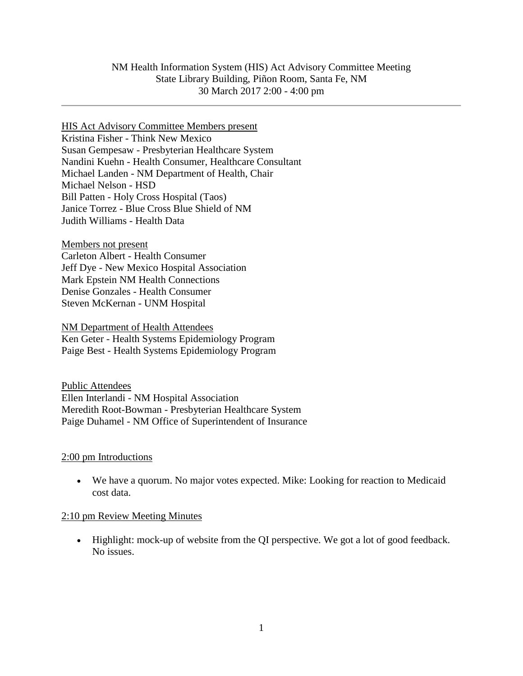### HIS Act Advisory Committee Members present Kristina Fisher - Think New Mexico Susan Gempesaw - Presbyterian Healthcare System Nandini Kuehn - Health Consumer, Healthcare Consultant Michael Landen - NM Department of Health, Chair Michael Nelson - HSD Bill Patten - Holy Cross Hospital (Taos) Janice Torrez - Blue Cross Blue Shield of NM Judith Williams - Health Data

Members not present Carleton Albert - Health Consumer Jeff Dye - New Mexico Hospital Association Mark Epstein NM Health Connections Denise Gonzales - Health Consumer Steven McKernan - UNM Hospital

NM Department of Health Attendees Ken Geter - Health Systems Epidemiology Program Paige Best - Health Systems Epidemiology Program

Public Attendees Ellen Interlandi - NM Hospital Association Meredith Root-Bowman - Presbyterian Healthcare System Paige Duhamel - NM Office of Superintendent of Insurance

### 2:00 pm Introductions

 We have a quorum. No major votes expected. Mike: Looking for reaction to Medicaid cost data.

### 2:10 pm Review Meeting Minutes

 Highlight: mock-up of website from the QI perspective. We got a lot of good feedback. No issues.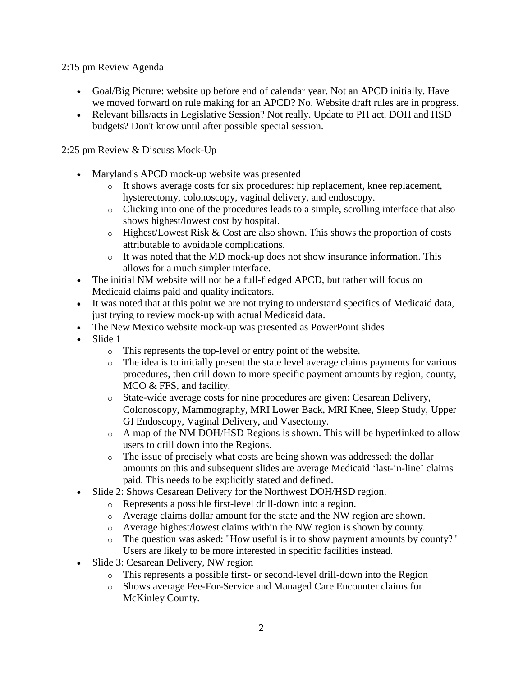## 2:15 pm Review Agenda

- Goal/Big Picture: website up before end of calendar year. Not an APCD initially. Have we moved forward on rule making for an APCD? No. Website draft rules are in progress.
- Relevant bills/acts in Legislative Session? Not really. Update to PH act. DOH and HSD budgets? Don't know until after possible special session.

# 2:25 pm Review & Discuss Mock-Up

- Maryland's APCD mock-up website was presented
	- o It shows average costs for six procedures: hip replacement, knee replacement, hysterectomy, colonoscopy, vaginal delivery, and endoscopy.
	- o Clicking into one of the procedures leads to a simple, scrolling interface that also shows highest/lowest cost by hospital.
	- $\circ$  Highest/Lowest Risk & Cost are also shown. This shows the proportion of costs attributable to avoidable complications.
	- $\circ$  It was noted that the MD mock-up does not show insurance information. This allows for a much simpler interface.
- The initial NM website will not be a full-fledged APCD, but rather will focus on Medicaid claims paid and quality indicators.
- It was noted that at this point we are not trying to understand specifics of Medicaid data, just trying to review mock-up with actual Medicaid data.
- The New Mexico website mock-up was presented as PowerPoint slides
- Slide 1
	- o This represents the top-level or entry point of the website.
	- o The idea is to initially present the state level average claims payments for various procedures, then drill down to more specific payment amounts by region, county, MCO & FFS, and facility.
	- o State-wide average costs for nine procedures are given: Cesarean Delivery, Colonoscopy, Mammography, MRI Lower Back, MRI Knee, Sleep Study, Upper GI Endoscopy, Vaginal Delivery, and Vasectomy.
	- o A map of the NM DOH/HSD Regions is shown. This will be hyperlinked to allow users to drill down into the Regions.
	- o The issue of precisely what costs are being shown was addressed: the dollar amounts on this and subsequent slides are average Medicaid 'last-in-line' claims paid. This needs to be explicitly stated and defined.
- Slide 2: Shows Cesarean Delivery for the Northwest DOH/HSD region.
	- o Represents a possible first-level drill-down into a region.
	- o Average claims dollar amount for the state and the NW region are shown.
	- o Average highest/lowest claims within the NW region is shown by county.
	- o The question was asked: "How useful is it to show payment amounts by county?" Users are likely to be more interested in specific facilities instead.
- Slide 3: Cesarean Delivery, NW region
	- o This represents a possible first- or second-level drill-down into the Region
	- o Shows average Fee-For-Service and Managed Care Encounter claims for McKinley County.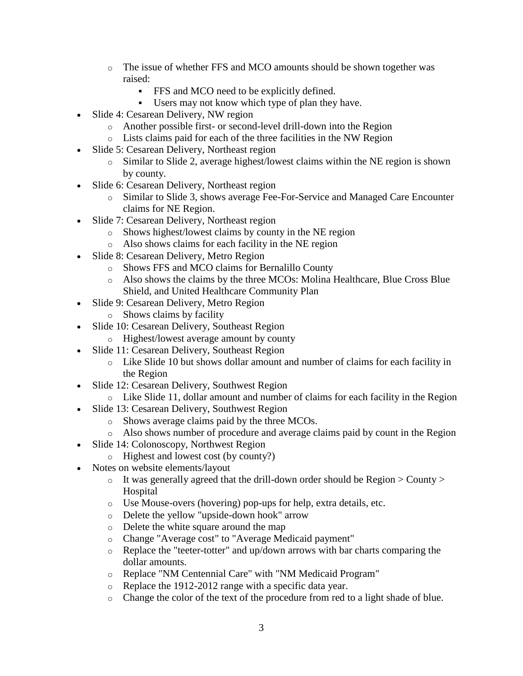- o The issue of whether FFS and MCO amounts should be shown together was raised:
	- FFS and MCO need to be explicitly defined.
	- Users may not know which type of plan they have.
- Slide 4: Cesarean Delivery, NW region
	- o Another possible first- or second-level drill-down into the Region
	- o Lists claims paid for each of the three facilities in the NW Region
- Slide 5: Cesarean Delivery, Northeast region
	- o Similar to Slide 2, average highest/lowest claims within the NE region is shown by county.
- Slide 6: Cesarean Delivery, Northeast region
	- o Similar to Slide 3, shows average Fee-For-Service and Managed Care Encounter claims for NE Region.
- Slide 7: Cesarean Delivery, Northeast region
	- o Shows highest/lowest claims by county in the NE region
	- o Also shows claims for each facility in the NE region
- Slide 8: Cesarean Delivery, Metro Region
	- o Shows FFS and MCO claims for Bernalillo County
	- o Also shows the claims by the three MCOs: Molina Healthcare, Blue Cross Blue Shield, and United Healthcare Community Plan
- Slide 9: Cesarean Delivery, Metro Region
	- o Shows claims by facility
- Slide 10: Cesarean Delivery, Southeast Region
	- o Highest/lowest average amount by county
- Slide 11: Cesarean Delivery, Southeast Region
	- o Like Slide 10 but shows dollar amount and number of claims for each facility in the Region
- Slide 12: Cesarean Delivery, Southwest Region
	- o Like Slide 11, dollar amount and number of claims for each facility in the Region
- Slide 13: Cesarean Delivery, Southwest Region
	- o Shows average claims paid by the three MCOs.
	- o Also shows number of procedure and average claims paid by count in the Region
- Slide 14: Colonoscopy, Northwest Region
	- o Highest and lowest cost (by county?)
- Notes on website elements/layout
	- $\circ$  It was generally agreed that the drill-down order should be Region  $>$  County  $>$ Hospital
	- o Use Mouse-overs (hovering) pop-ups for help, extra details, etc.
	- o Delete the yellow "upside-down hook" arrow
	- o Delete the white square around the map
	- o Change "Average cost" to "Average Medicaid payment"
	- o Replace the "teeter-totter" and up/down arrows with bar charts comparing the dollar amounts.
	- o Replace "NM Centennial Care" with "NM Medicaid Program"
	- o Replace the 1912-2012 range with a specific data year.
	- o Change the color of the text of the procedure from red to a light shade of blue.